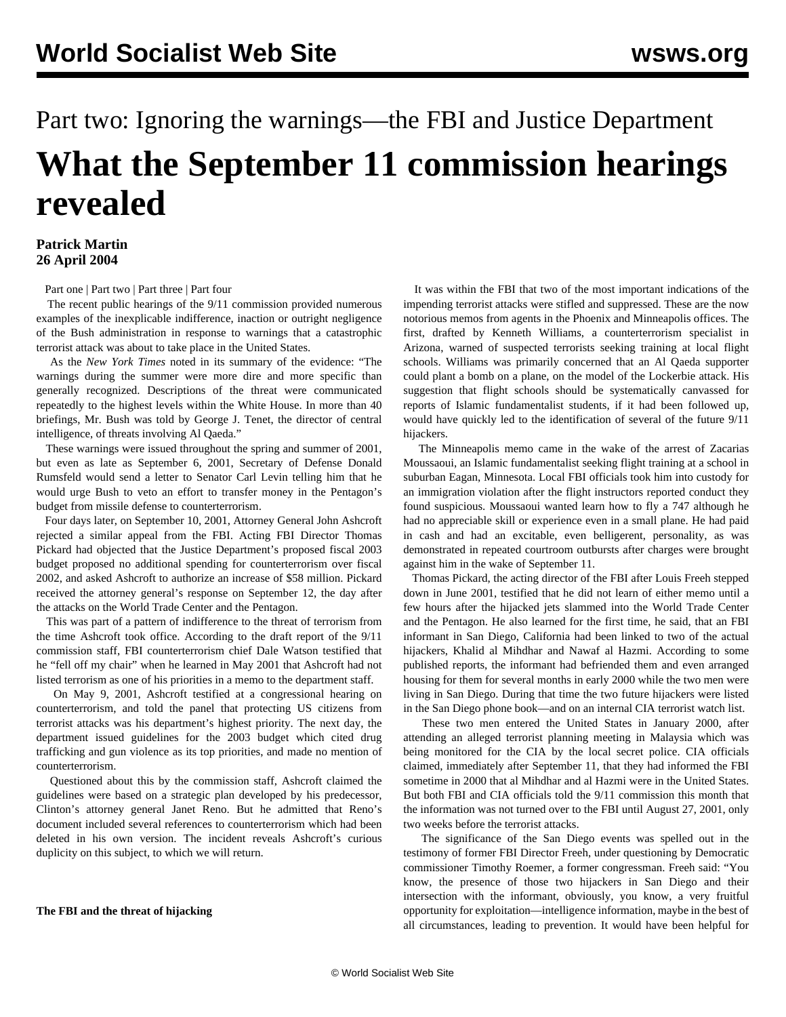# Part two: Ignoring the warnings—the FBI and Justice Department **What the September 11 commission hearings revealed**

### **Patrick Martin 26 April 2004**

[Part one](/en/articles/2004/04/911-a22.html) | [Part two](/en/articles/2004/04/911-a26.html) | [Part three](/en/articles/2004/04/911-a27.html) | [Part four](/en/articles/2004/05/911-m01.html)

 The recent public hearings of the 9/11 commission provided numerous examples of the inexplicable indifference, inaction or outright negligence of the Bush administration in response to warnings that a catastrophic terrorist attack was about to take place in the United States.

 As the *New York Times* noted in its summary of the evidence: "The warnings during the summer were more dire and more specific than generally recognized. Descriptions of the threat were communicated repeatedly to the highest levels within the White House. In more than 40 briefings, Mr. Bush was told by George J. Tenet, the director of central intelligence, of threats involving Al Qaeda."

 These warnings were issued throughout the spring and summer of 2001, but even as late as September 6, 2001, Secretary of Defense Donald Rumsfeld would send a letter to Senator Carl Levin telling him that he would urge Bush to veto an effort to transfer money in the Pentagon's budget from missile defense to counterterrorism.

 Four days later, on September 10, 2001, Attorney General John Ashcroft rejected a similar appeal from the FBI. Acting FBI Director Thomas Pickard had objected that the Justice Department's proposed fiscal 2003 budget proposed no additional spending for counterterrorism over fiscal 2002, and asked Ashcroft to authorize an increase of \$58 million. Pickard received the attorney general's response on September 12, the day after the attacks on the World Trade Center and the Pentagon.

 This was part of a pattern of indifference to the threat of terrorism from the time Ashcroft took office. According to the draft report of the 9/11 commission staff, FBI counterterrorism chief Dale Watson testified that he "fell off my chair" when he learned in May 2001 that Ashcroft had not listed terrorism as one of his priorities in a memo to the department staff.

 On May 9, 2001, Ashcroft testified at a congressional hearing on counterterrorism, and told the panel that protecting US citizens from terrorist attacks was his department's highest priority. The next day, the department issued guidelines for the 2003 budget which cited drug trafficking and gun violence as its top priorities, and made no mention of counterterrorism.

 Questioned about this by the commission staff, Ashcroft claimed the guidelines were based on a strategic plan developed by his predecessor, Clinton's attorney general Janet Reno. But he admitted that Reno's document included several references to counterterrorism which had been deleted in his own version. The incident reveals Ashcroft's curious duplicity on this subject, to which we will return.

#### **The FBI and the threat of hijacking**

 It was within the FBI that two of the most important indications of the impending terrorist attacks were stifled and suppressed. These are the now notorious memos from agents in the Phoenix and Minneapolis offices. The first, drafted by Kenneth Williams, a counterterrorism specialist in Arizona, warned of suspected terrorists seeking training at local flight schools. Williams was primarily concerned that an Al Qaeda supporter could plant a bomb on a plane, on the model of the Lockerbie attack. His suggestion that flight schools should be systematically canvassed for reports of Islamic fundamentalist students, if it had been followed up, would have quickly led to the identification of several of the future 9/11 hijackers.

 The Minneapolis memo came in the wake of the arrest of Zacarias Moussaoui, an Islamic fundamentalist seeking flight training at a school in suburban Eagan, Minnesota. Local FBI officials took him into custody for an immigration violation after the flight instructors reported conduct they found suspicious. Moussaoui wanted learn how to fly a 747 although he had no appreciable skill or experience even in a small plane. He had paid in cash and had an excitable, even belligerent, personality, as was demonstrated in repeated courtroom outbursts after charges were brought against him in the wake of September 11.

 Thomas Pickard, the acting director of the FBI after Louis Freeh stepped down in June 2001, testified that he did not learn of either memo until a few hours after the hijacked jets slammed into the World Trade Center and the Pentagon. He also learned for the first time, he said, that an FBI informant in San Diego, California had been linked to two of the actual hijackers, Khalid al Mihdhar and Nawaf al Hazmi. According to some published reports, the informant had befriended them and even arranged housing for them for several months in early 2000 while the two men were living in San Diego. During that time the two future hijackers were listed in the San Diego phone book—and on an internal CIA terrorist watch list.

 These two men entered the United States in January 2000, after attending an alleged terrorist planning meeting in Malaysia which was being monitored for the CIA by the local secret police. CIA officials claimed, immediately after September 11, that they had informed the FBI sometime in 2000 that al Mihdhar and al Hazmi were in the United States. But both FBI and CIA officials told the 9/11 commission this month that the information was not turned over to the FBI until August 27, 2001, only two weeks before the terrorist attacks.

 The significance of the San Diego events was spelled out in the testimony of former FBI Director Freeh, under questioning by Democratic commissioner Timothy Roemer, a former congressman. Freeh said: "You know, the presence of those two hijackers in San Diego and their intersection with the informant, obviously, you know, a very fruitful opportunity for exploitation—intelligence information, maybe in the best of all circumstances, leading to prevention. It would have been helpful for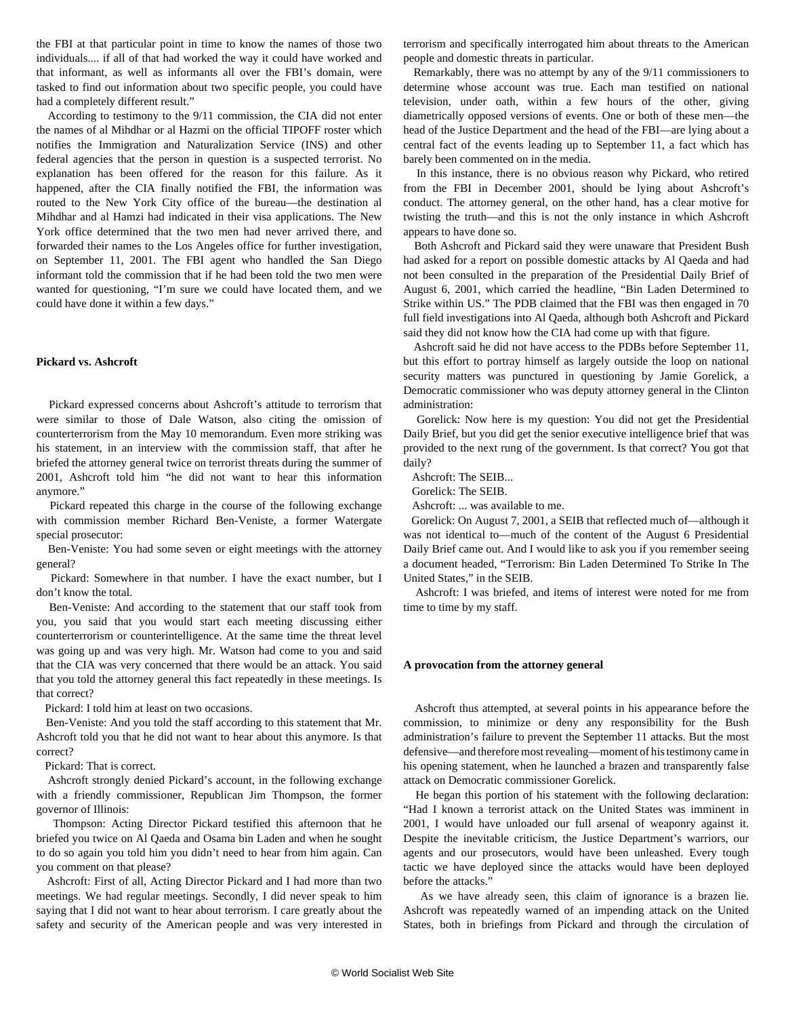the FBI at that particular point in time to know the names of those two individuals.... if all of that had worked the way it could have worked and that informant, as well as informants all over the FBI's domain, were tasked to find out information about two specific people, you could have had a completely different result."

 According to testimony to the 9/11 commission, the CIA did not enter the names of al Mihdhar or al Hazmi on the official TIPOFF roster which notifies the Immigration and Naturalization Service (INS) and other federal agencies that the person in question is a suspected terrorist. No explanation has been offered for the reason for this failure. As it happened, after the CIA finally notified the FBI, the information was routed to the New York City office of the bureau—the destination al Mihdhar and al Hamzi had indicated in their visa applications. The New York office determined that the two men had never arrived there, and forwarded their names to the Los Angeles office for further investigation, on September 11, 2001. The FBI agent who handled the San Diego informant told the commission that if he had been told the two men were wanted for questioning, "I'm sure we could have located them, and we could have done it within a few days."

#### **Pickard vs. Ashcroft**

 Pickard expressed concerns about Ashcroft's attitude to terrorism that were similar to those of Dale Watson, also citing the omission of counterterrorism from the May 10 memorandum. Even more striking was his statement, in an interview with the commission staff, that after he briefed the attorney general twice on terrorist threats during the summer of 2001, Ashcroft told him "he did not want to hear this information anymore."

 Pickard repeated this charge in the course of the following exchange with commission member Richard Ben-Veniste, a former Watergate special prosecutor:

 Ben-Veniste: You had some seven or eight meetings with the attorney general?

 Pickard: Somewhere in that number. I have the exact number, but I don't know the total.

 Ben-Veniste: And according to the statement that our staff took from you, you said that you would start each meeting discussing either counterterrorism or counterintelligence. At the same time the threat level was going up and was very high. Mr. Watson had come to you and said that the CIA was very concerned that there would be an attack. You said that you told the attorney general this fact repeatedly in these meetings. Is that correct?

Pickard: I told him at least on two occasions.

 Ben-Veniste: And you told the staff according to this statement that Mr. Ashcroft told you that he did not want to hear about this anymore. Is that correct?

Pickard: That is correct.

 Ashcroft strongly denied Pickard's account, in the following exchange with a friendly commissioner, Republican Jim Thompson, the former governor of Illinois:

 Thompson: Acting Director Pickard testified this afternoon that he briefed you twice on Al Qaeda and Osama bin Laden and when he sought to do so again you told him you didn't need to hear from him again. Can you comment on that please?

 Ashcroft: First of all, Acting Director Pickard and I had more than two meetings. We had regular meetings. Secondly, I did never speak to him saying that I did not want to hear about terrorism. I care greatly about the safety and security of the American people and was very interested in terrorism and specifically interrogated him about threats to the American people and domestic threats in particular.

 Remarkably, there was no attempt by any of the 9/11 commissioners to determine whose account was true. Each man testified on national television, under oath, within a few hours of the other, giving diametrically opposed versions of events. One or both of these men—the head of the Justice Department and the head of the FBI—are lying about a central fact of the events leading up to September 11, a fact which has barely been commented on in the media.

 In this instance, there is no obvious reason why Pickard, who retired from the FBI in December 2001, should be lying about Ashcroft's conduct. The attorney general, on the other hand, has a clear motive for twisting the truth—and this is not the only instance in which Ashcroft appears to have done so.

 Both Ashcroft and Pickard said they were unaware that President Bush had asked for a report on possible domestic attacks by Al Qaeda and had not been consulted in the preparation of the Presidential Daily Brief of August 6, 2001, which carried the headline, "Bin Laden Determined to Strike within US." The PDB claimed that the FBI was then engaged in 70 full field investigations into Al Qaeda, although both Ashcroft and Pickard said they did not know how the CIA had come up with that figure.

 Ashcroft said he did not have access to the PDBs before September 11, but this effort to portray himself as largely outside the loop on national security matters was punctured in questioning by Jamie Gorelick, a Democratic commissioner who was deputy attorney general in the Clinton administration:

 Gorelick: Now here is my question: You did not get the Presidential Daily Brief, but you did get the senior executive intelligence brief that was provided to the next rung of the government. Is that correct? You got that daily?

Ashcroft: The SEIB...

Gorelick: The SEIB.

Ashcroft: ... was available to me.

 Gorelick: On August 7, 2001, a SEIB that reflected much of—although it was not identical to—much of the content of the August 6 Presidential Daily Brief came out. And I would like to ask you if you remember seeing a document headed, "Terrorism: Bin Laden Determined To Strike In The United States," in the SEIB.

 Ashcroft: I was briefed, and items of interest were noted for me from time to time by my staff.

#### **A provocation from the attorney general**

 Ashcroft thus attempted, at several points in his appearance before the commission, to minimize or deny any responsibility for the Bush administration's failure to prevent the September 11 attacks. But the most defensive—and therefore most revealing—moment of his testimony came in his opening statement, when he launched a brazen and transparently false attack on Democratic commissioner Gorelick.

 He began this portion of his statement with the following declaration: "Had I known a terrorist attack on the United States was imminent in 2001, I would have unloaded our full arsenal of weaponry against it. Despite the inevitable criticism, the Justice Department's warriors, our agents and our prosecutors, would have been unleashed. Every tough tactic we have deployed since the attacks would have been deployed before the attacks."

 As we have already seen, this claim of ignorance is a brazen lie. Ashcroft was repeatedly warned of an impending attack on the United States, both in briefings from Pickard and through the circulation of